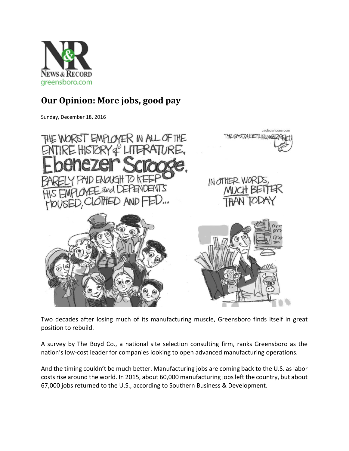

## **Our Opinion: More jobs, good pay**

Sunday, December 18, 2016



Two decades after losing much of its manufacturing muscle, Greensboro finds itself in great position to rebuild.

A survey by The Boyd Co., a national site selection consulting firm, ranks Greensboro as the nation's low‐cost leader for companies looking to open advanced manufacturing operations.

And the timing couldn't be much better. Manufacturing jobs are coming back to the U.S. as labor costs rise around the world. In 2015, about 60,000 manufacturing jobs left the country, but about 67,000 jobs returned to the U.S., according to Southern Business & Development.